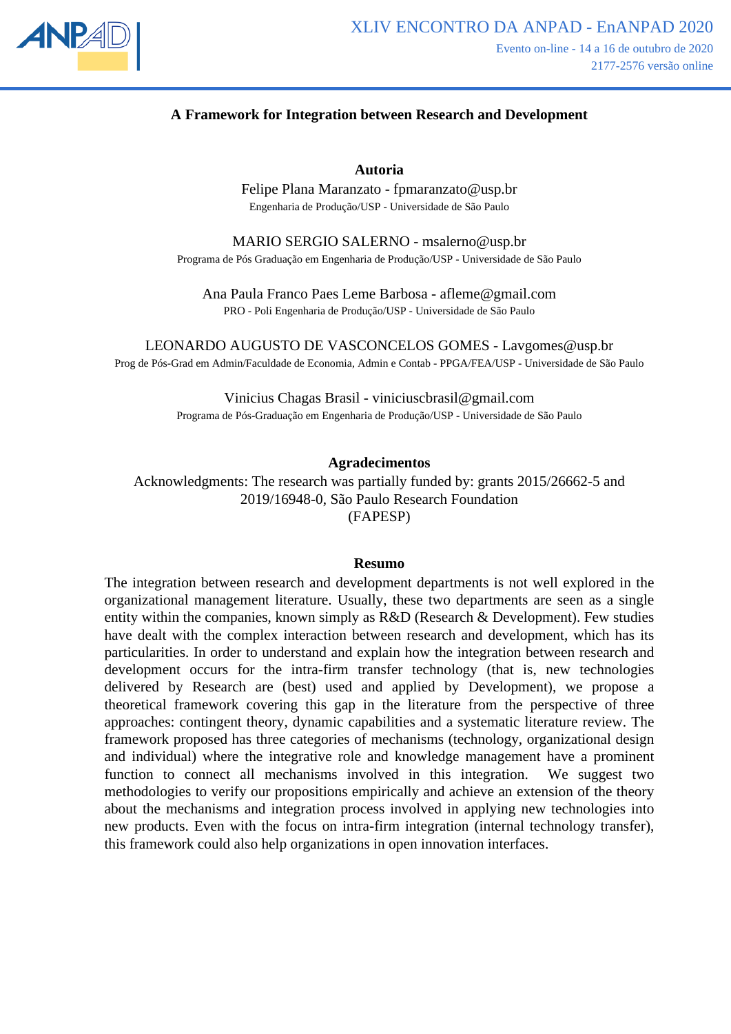

## **A Framework for Integration between Research and Development**

**Autoria**

Felipe Plana Maranzato - fpmaranzato@usp.br Engenharia de Produção/USP - Universidade de São Paulo

MARIO SERGIO SALERNO - msalerno@usp.br Programa de Pós Graduação em Engenharia de Produção/USP - Universidade de São Paulo

Ana Paula Franco Paes Leme Barbosa - afleme@gmail.com PRO - Poli Engenharia de Produção/USP - Universidade de São Paulo

LEONARDO AUGUSTO DE VASCONCELOS GOMES - Lavgomes@usp.br Prog de Pós-Grad em Admin/Faculdade de Economia, Admin e Contab - PPGA/FEA/USP - Universidade de São Paulo

> Vinicius Chagas Brasil - viniciuscbrasil@gmail.com Programa de Pós-Graduação em Engenharia de Produção/USP - Universidade de São Paulo

#### **Agradecimentos**

Acknowledgments: The research was partially funded by: grants 2015/26662-5 and 2019/16948-0, São Paulo Research Foundation (FAPESP)

#### **Resumo**

The integration between research and development departments is not well explored in the organizational management literature. Usually, these two departments are seen as a single entity within the companies, known simply as R&D (Research & Development). Few studies have dealt with the complex interaction between research and development, which has its particularities. In order to understand and explain how the integration between research and development occurs for the intra-firm transfer technology (that is, new technologies delivered by Research are (best) used and applied by Development), we propose a theoretical framework covering this gap in the literature from the perspective of three approaches: contingent theory, dynamic capabilities and a systematic literature review. The framework proposed has three categories of mechanisms (technology, organizational design and individual) where the integrative role and knowledge management have a prominent function to connect all mechanisms involved in this integration. We suggest two methodologies to verify our propositions empirically and achieve an extension of the theory about the mechanisms and integration process involved in applying new technologies into new products. Even with the focus on intra-firm integration (internal technology transfer), this framework could also help organizations in open innovation interfaces.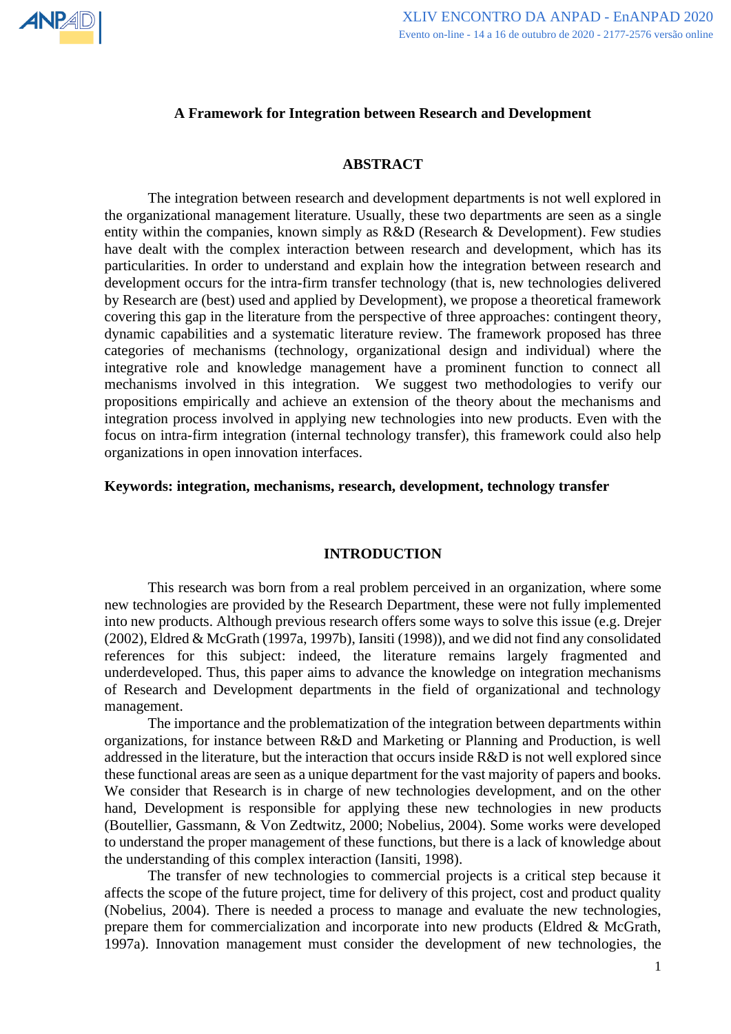

### **A Framework for Integration between Research and Development**

#### **ABSTRACT**

The integration between research and development departments is not well explored in the organizational management literature. Usually, these two departments are seen as a single entity within the companies, known simply as R&D (Research & Development). Few studies have dealt with the complex interaction between research and development, which has its particularities. In order to understand and explain how the integration between research and development occurs for the intra-firm transfer technology (that is, new technologies delivered by Research are (best) used and applied by Development), we propose a theoretical framework covering this gap in the literature from the perspective of three approaches: contingent theory, dynamic capabilities and a systematic literature review. The framework proposed has three categories of mechanisms (technology, organizational design and individual) where the integrative role and knowledge management have a prominent function to connect all mechanisms involved in this integration. We suggest two methodologies to verify our propositions empirically and achieve an extension of the theory about the mechanisms and integration process involved in applying new technologies into new products. Even with the focus on intra-firm integration (internal technology transfer), this framework could also help organizations in open innovation interfaces.

#### **Keywords: integration, mechanisms, research, development, technology transfer**

#### **INTRODUCTION**

This research was born from a real problem perceived in an organization, where some new technologies are provided by the Research Department, these were not fully implemented into new products. Although previous research offers some ways to solve this issue (e.g. Drejer (2002), Eldred & McGrath (1997a, 1997b), Iansiti (1998)), and we did not find any consolidated references for this subject: indeed, the literature remains largely fragmented and underdeveloped. Thus, this paper aims to advance the knowledge on integration mechanisms of Research and Development departments in the field of organizational and technology management.

The importance and the problematization of the integration between departments within organizations, for instance between R&D and Marketing or Planning and Production, is well addressed in the literature, but the interaction that occurs inside R&D is not well explored since these functional areas are seen as a unique department for the vast majority of papers and books. We consider that Research is in charge of new technologies development, and on the other hand, Development is responsible for applying these new technologies in new products (Boutellier, Gassmann, & Von Zedtwitz, 2000; Nobelius, 2004). Some works were developed to understand the proper management of these functions, but there is a lack of knowledge about the understanding of this complex interaction (Iansiti, 1998).

The transfer of new technologies to commercial projects is a critical step because it affects the scope of the future project, time for delivery of this project, cost and product quality (Nobelius, 2004). There is needed a process to manage and evaluate the new technologies, prepare them for commercialization and incorporate into new products (Eldred & McGrath, 1997a). Innovation management must consider the development of new technologies, the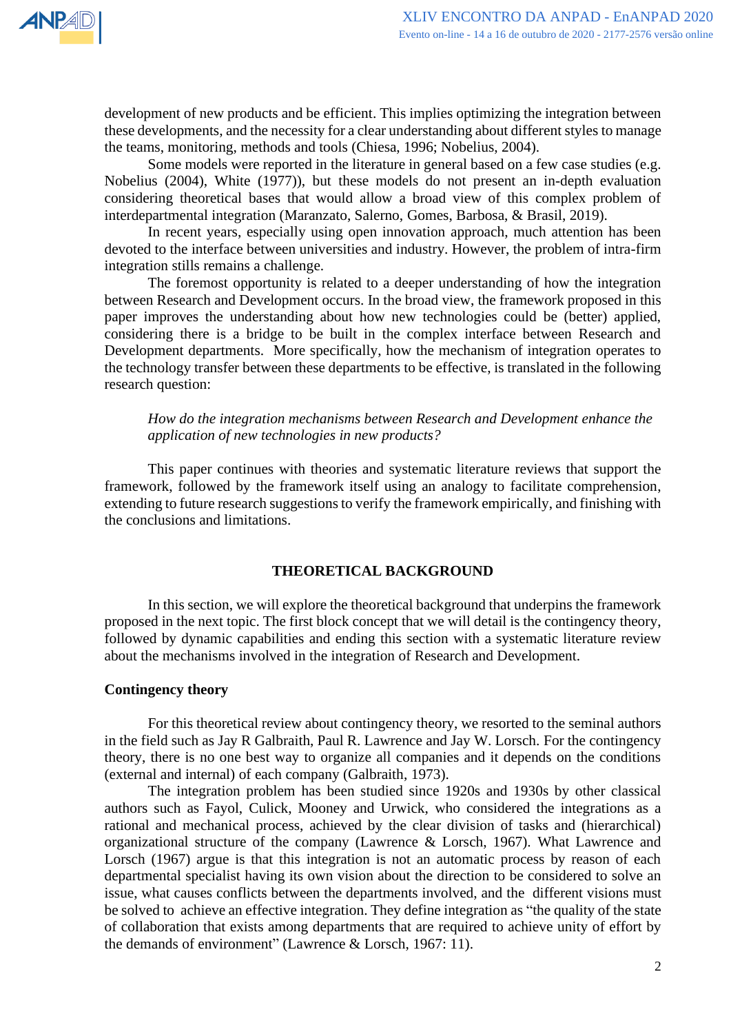development of new products and be efficient. This implies optimizing the integration between these developments, and the necessity for a clear understanding about different styles to manage the teams, monitoring, methods and tools (Chiesa, 1996; Nobelius, 2004).

Some models were reported in the literature in general based on a few case studies (e.g. Nobelius (2004), White (1977)), but these models do not present an in-depth evaluation considering theoretical bases that would allow a broad view of this complex problem of interdepartmental integration (Maranzato, Salerno, Gomes, Barbosa, & Brasil, 2019).

In recent years, especially using open innovation approach, much attention has been devoted to the interface between universities and industry. However, the problem of intra-firm integration stills remains a challenge.

The foremost opportunity is related to a deeper understanding of how the integration between Research and Development occurs. In the broad view, the framework proposed in this paper improves the understanding about how new technologies could be (better) applied, considering there is a bridge to be built in the complex interface between Research and Development departments. More specifically, how the mechanism of integration operates to the technology transfer between these departments to be effective, is translated in the following research question:

*How do the integration mechanisms between Research and Development enhance the application of new technologies in new products?*

This paper continues with theories and systematic literature reviews that support the framework, followed by the framework itself using an analogy to facilitate comprehension, extending to future research suggestions to verify the framework empirically, and finishing with the conclusions and limitations.

## **THEORETICAL BACKGROUND**

In this section, we will explore the theoretical background that underpins the framework proposed in the next topic. The first block concept that we will detail is the contingency theory, followed by dynamic capabilities and ending this section with a systematic literature review about the mechanisms involved in the integration of Research and Development.

## **Contingency theory**

For this theoretical review about contingency theory, we resorted to the seminal authors in the field such as Jay R Galbraith, Paul R. Lawrence and Jay W. Lorsch. For the contingency theory, there is no one best way to organize all companies and it depends on the conditions (external and internal) of each company (Galbraith, 1973).

The integration problem has been studied since 1920s and 1930s by other classical authors such as Fayol, Culick, Mooney and Urwick, who considered the integrations as a rational and mechanical process, achieved by the clear division of tasks and (hierarchical) organizational structure of the company (Lawrence & Lorsch, 1967). What Lawrence and Lorsch (1967) argue is that this integration is not an automatic process by reason of each departmental specialist having its own vision about the direction to be considered to solve an issue, what causes conflicts between the departments involved, and the different visions must be solved to achieve an effective integration. They define integration as "the quality of the state of collaboration that exists among departments that are required to achieve unity of effort by the demands of environment" (Lawrence & Lorsch, 1967: 11).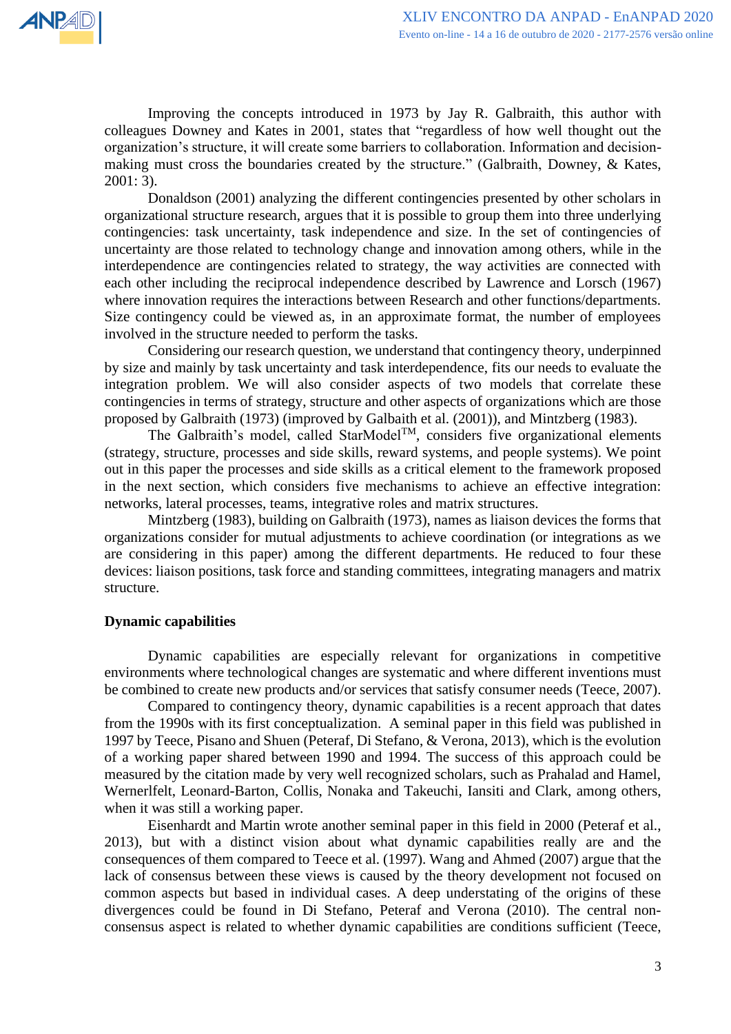Improving the concepts introduced in 1973 by Jay R. Galbraith, this author with colleagues Downey and Kates in 2001, states that "regardless of how well thought out the organization's structure, it will create some barriers to collaboration. Information and decisionmaking must cross the boundaries created by the structure." (Galbraith, Downey, & Kates, 2001: 3).

Donaldson (2001) analyzing the different contingencies presented by other scholars in organizational structure research, argues that it is possible to group them into three underlying contingencies: task uncertainty, task independence and size. In the set of contingencies of uncertainty are those related to technology change and innovation among others, while in the interdependence are contingencies related to strategy, the way activities are connected with each other including the reciprocal independence described by Lawrence and Lorsch (1967) where innovation requires the interactions between Research and other functions/departments. Size contingency could be viewed as, in an approximate format, the number of employees involved in the structure needed to perform the tasks.

Considering our research question, we understand that contingency theory, underpinned by size and mainly by task uncertainty and task interdependence, fits our needs to evaluate the integration problem. We will also consider aspects of two models that correlate these contingencies in terms of strategy, structure and other aspects of organizations which are those proposed by Galbraith (1973) (improved by Galbaith et al. (2001)), and Mintzberg (1983).

The Galbraith's model, called StarModel<sup>TM</sup>, considers five organizational elements (strategy, structure, processes and side skills, reward systems, and people systems). We point out in this paper the processes and side skills as a critical element to the framework proposed in the next section, which considers five mechanisms to achieve an effective integration: networks, lateral processes, teams, integrative roles and matrix structures.

Mintzberg (1983), building on Galbraith (1973), names as liaison devices the forms that organizations consider for mutual adjustments to achieve coordination (or integrations as we are considering in this paper) among the different departments. He reduced to four these devices: liaison positions, task force and standing committees, integrating managers and matrix structure.

## **Dynamic capabilities**

Dynamic capabilities are especially relevant for organizations in competitive environments where technological changes are systematic and where different inventions must be combined to create new products and/or services that satisfy consumer needs (Teece, 2007).

Compared to contingency theory, dynamic capabilities is a recent approach that dates from the 1990s with its first conceptualization. A seminal paper in this field was published in 1997 by Teece, Pisano and Shuen (Peteraf, Di Stefano, & Verona, 2013), which is the evolution of a working paper shared between 1990 and 1994. The success of this approach could be measured by the citation made by very well recognized scholars, such as Prahalad and Hamel, Wernerlfelt, Leonard-Barton, Collis, Nonaka and Takeuchi, Iansiti and Clark, among others, when it was still a working paper.

Eisenhardt and Martin wrote another seminal paper in this field in 2000 (Peteraf et al., 2013), but with a distinct vision about what dynamic capabilities really are and the consequences of them compared to Teece et al. (1997). Wang and Ahmed (2007) argue that the lack of consensus between these views is caused by the theory development not focused on common aspects but based in individual cases. A deep understating of the origins of these divergences could be found in Di Stefano, Peteraf and Verona (2010). The central nonconsensus aspect is related to whether dynamic capabilities are conditions sufficient (Teece,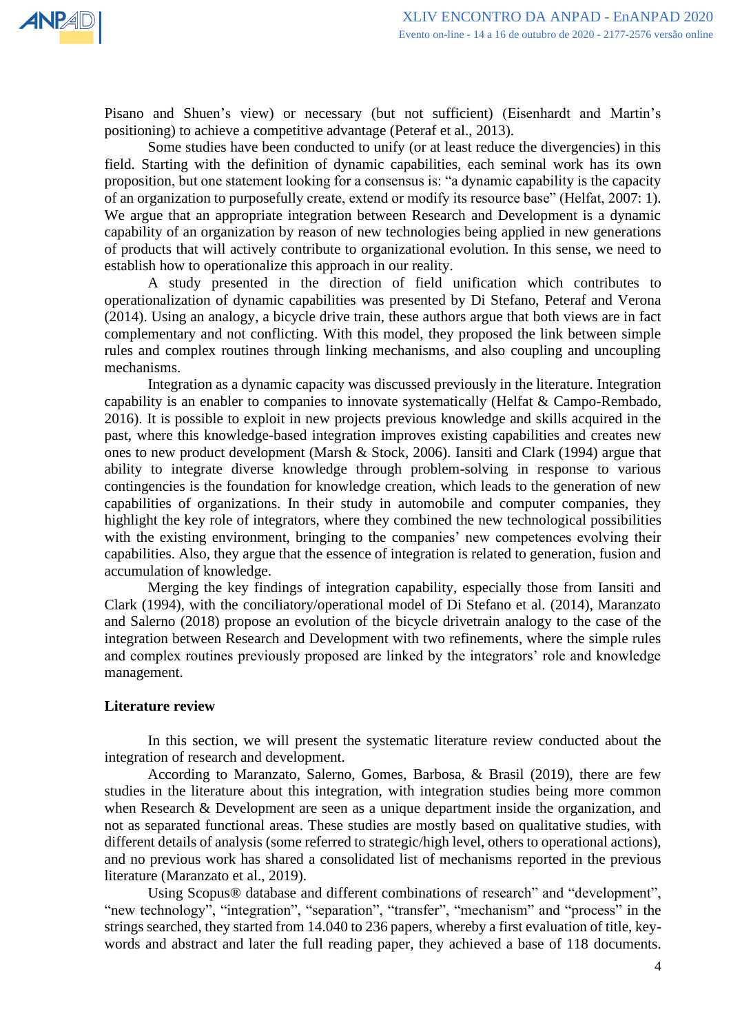

Pisano and Shuen's view) or necessary (but not sufficient) (Eisenhardt and Martin's positioning) to achieve a competitive advantage (Peteraf et al., 2013).

Some studies have been conducted to unify (or at least reduce the divergencies) in this field. Starting with the definition of dynamic capabilities, each seminal work has its own proposition, but one statement looking for a consensus is: "a dynamic capability is the capacity of an organization to purposefully create, extend or modify its resource base" (Helfat, 2007: 1). We argue that an appropriate integration between Research and Development is a dynamic capability of an organization by reason of new technologies being applied in new generations of products that will actively contribute to organizational evolution. In this sense, we need to establish how to operationalize this approach in our reality.

A study presented in the direction of field unification which contributes to operationalization of dynamic capabilities was presented by Di Stefano, Peteraf and Verona (2014). Using an analogy, a bicycle drive train, these authors argue that both views are in fact complementary and not conflicting. With this model, they proposed the link between simple rules and complex routines through linking mechanisms, and also coupling and uncoupling mechanisms.

Integration as a dynamic capacity was discussed previously in the literature. Integration capability is an enabler to companies to innovate systematically (Helfat & Campo-Rembado, 2016). It is possible to exploit in new projects previous knowledge and skills acquired in the past, where this knowledge-based integration improves existing capabilities and creates new ones to new product development (Marsh & Stock, 2006). Iansiti and Clark (1994) argue that ability to integrate diverse knowledge through problem-solving in response to various contingencies is the foundation for knowledge creation, which leads to the generation of new capabilities of organizations. In their study in automobile and computer companies, they highlight the key role of integrators, where they combined the new technological possibilities with the existing environment, bringing to the companies' new competences evolving their capabilities. Also, they argue that the essence of integration is related to generation, fusion and accumulation of knowledge.

Merging the key findings of integration capability, especially those from Iansiti and Clark (1994), with the conciliatory/operational model of Di Stefano et al. (2014), Maranzato and Salerno (2018) propose an evolution of the bicycle drivetrain analogy to the case of the integration between Research and Development with two refinements, where the simple rules and complex routines previously proposed are linked by the integrators' role and knowledge management.

## **Literature review**

In this section, we will present the systematic literature review conducted about the integration of research and development.

According to Maranzato, Salerno, Gomes, Barbosa, & Brasil (2019), there are few studies in the literature about this integration, with integration studies being more common when Research & Development are seen as a unique department inside the organization, and not as separated functional areas. These studies are mostly based on qualitative studies, with different details of analysis (some referred to strategic/high level, others to operational actions), and no previous work has shared a consolidated list of mechanisms reported in the previous literature (Maranzato et al., 2019).

Using Scopus® database and different combinations of research" and "development", "new technology", "integration", "separation", "transfer", "mechanism" and "process" in the strings searched, they started from 14.040 to 236 papers, whereby a first evaluation of title, keywords and abstract and later the full reading paper, they achieved a base of 118 documents.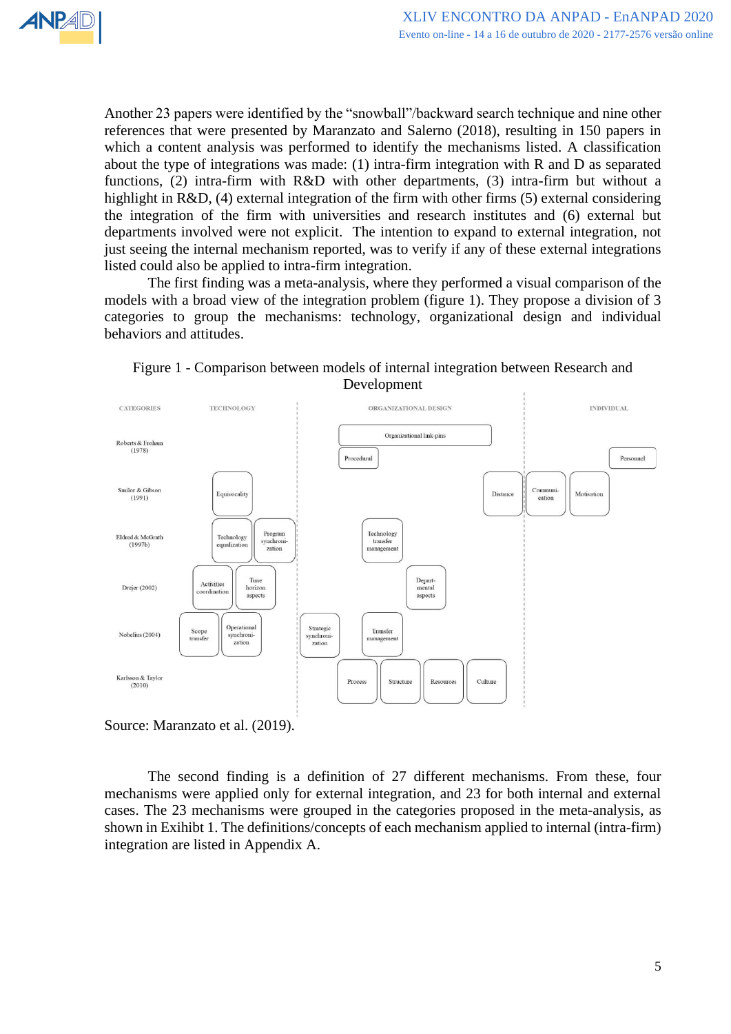

Another 23 papers were identified by the "snowball"/backward search technique and nine other references that were presented by Maranzato and Salerno (2018), resulting in 150 papers in which a content analysis was performed to identify the mechanisms listed. A classification about the type of integrations was made: (1) intra-firm integration with R and D as separated functions, (2) intra-firm with R&D with other departments, (3) intra-firm but without a highlight in R&D, (4) external integration of the firm with other firms (5) external considering the integration of the firm with universities and research institutes and (6) external but departments involved were not explicit. The intention to expand to external integration, not just seeing the internal mechanism reported, was to verify if any of these external integrations listed could also be applied to intra-firm integration.

The first finding was a meta-analysis, where they performed a visual comparison of the models with a broad view of the integration problem (figure 1). They propose a division of 3 categories to group the mechanisms: technology, organizational design and individual behaviors and attitudes.



Figure 1 - Comparison between models of internal integration between Research and Development

The second finding is a definition of 27 different mechanisms. From these, four mechanisms were applied only for external integration, and 23 for both internal and external cases. The 23 mechanisms were grouped in the categories proposed in the meta-analysis, as shown in Exihibt 1. The definitions/concepts of each mechanism applied to internal (intra-firm) integration are listed in Appendix A.

Source: Maranzato et al. (2019).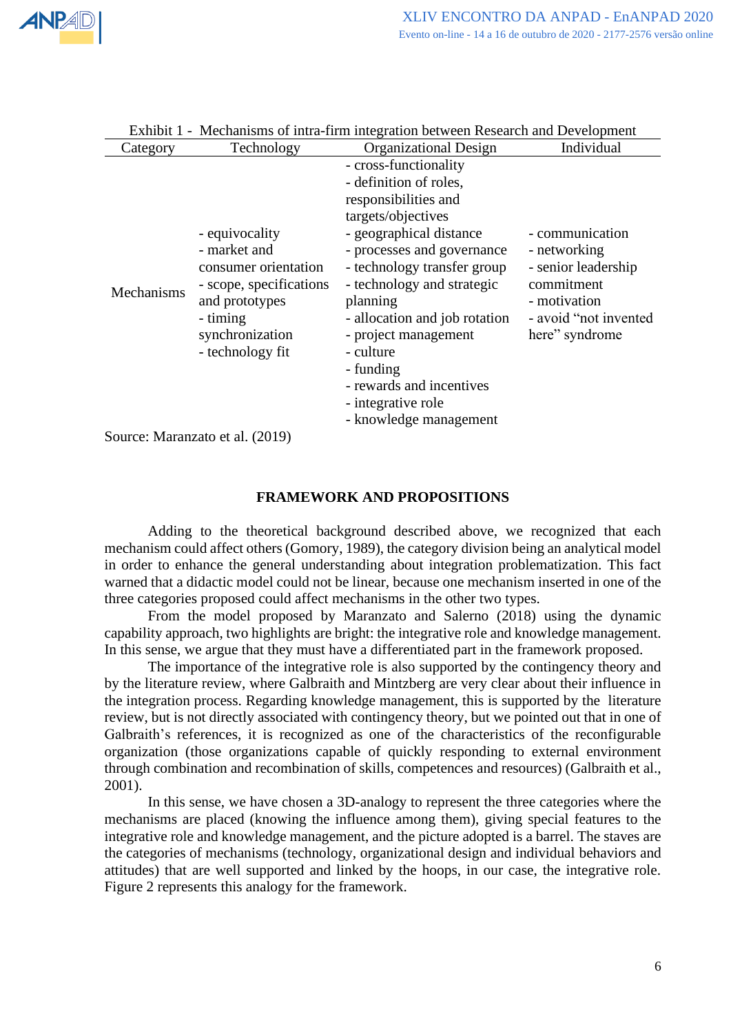

| Category   | Technology                                                                                                                                             | <b>Organizational Design</b>                                                                                                                                                                                                                                                                                                                                                                   | Individual                                                                                                                       |
|------------|--------------------------------------------------------------------------------------------------------------------------------------------------------|------------------------------------------------------------------------------------------------------------------------------------------------------------------------------------------------------------------------------------------------------------------------------------------------------------------------------------------------------------------------------------------------|----------------------------------------------------------------------------------------------------------------------------------|
| Mechanisms | - equivocality<br>- market and<br>consumer orientation<br>- scope, specifications<br>and prototypes<br>- timing<br>synchronization<br>- technology fit | - cross-functionality<br>- definition of roles,<br>responsibilities and<br>targets/objectives<br>- geographical distance<br>- processes and governance<br>- technology transfer group<br>- technology and strategic<br>planning<br>- allocation and job rotation<br>- project management<br>- culture<br>- funding<br>- rewards and incentives<br>- integrative role<br>- knowledge management | - communication<br>- networking<br>- senior leadership<br>commitment<br>- motivation<br>- avoid "not invented"<br>here" syndrome |
|            | Source: Maranzato et al. (2019)                                                                                                                        |                                                                                                                                                                                                                                                                                                                                                                                                |                                                                                                                                  |

# Exhibit 1 - Mechanisms of intra-firm integration between Research and Development

**FRAMEWORK AND PROPOSITIONS**

Adding to the theoretical background described above, we recognized that each mechanism could affect others (Gomory, 1989), the category division being an analytical model in order to enhance the general understanding about integration problematization. This fact warned that a didactic model could not be linear, because one mechanism inserted in one of the three categories proposed could affect mechanisms in the other two types.

From the model proposed by Maranzato and Salerno (2018) using the dynamic capability approach, two highlights are bright: the integrative role and knowledge management. In this sense, we argue that they must have a differentiated part in the framework proposed.

The importance of the integrative role is also supported by the contingency theory and by the literature review, where Galbraith and Mintzberg are very clear about their influence in the integration process. Regarding knowledge management, this is supported by the literature review, but is not directly associated with contingency theory, but we pointed out that in one of Galbraith's references, it is recognized as one of the characteristics of the reconfigurable organization (those organizations capable of quickly responding to external environment through combination and recombination of skills, competences and resources) (Galbraith et al., 2001).

In this sense, we have chosen a 3D-analogy to represent the three categories where the mechanisms are placed (knowing the influence among them), giving special features to the integrative role and knowledge management, and the picture adopted is a barrel. The staves are the categories of mechanisms (technology, organizational design and individual behaviors and attitudes) that are well supported and linked by the hoops, in our case, the integrative role. Figure 2 represents this analogy for the framework.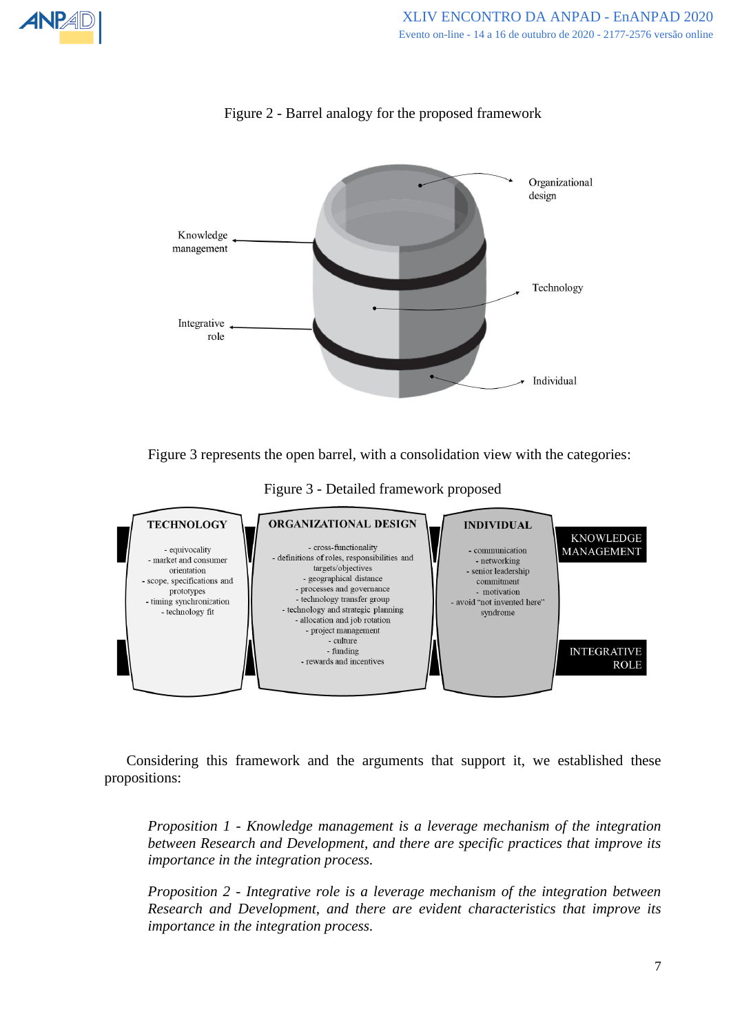

Figure 2 - Barrel analogy for the proposed framework



Figure 3 - Detailed framework proposed



Considering this framework and the arguments that support it, we established these propositions:

*Proposition 1 - Knowledge management is a leverage mechanism of the integration between Research and Development, and there are specific practices that improve its importance in the integration process.*

*Proposition 2 - Integrative role is a leverage mechanism of the integration between Research and Development, and there are evident characteristics that improve its importance in the integration process.*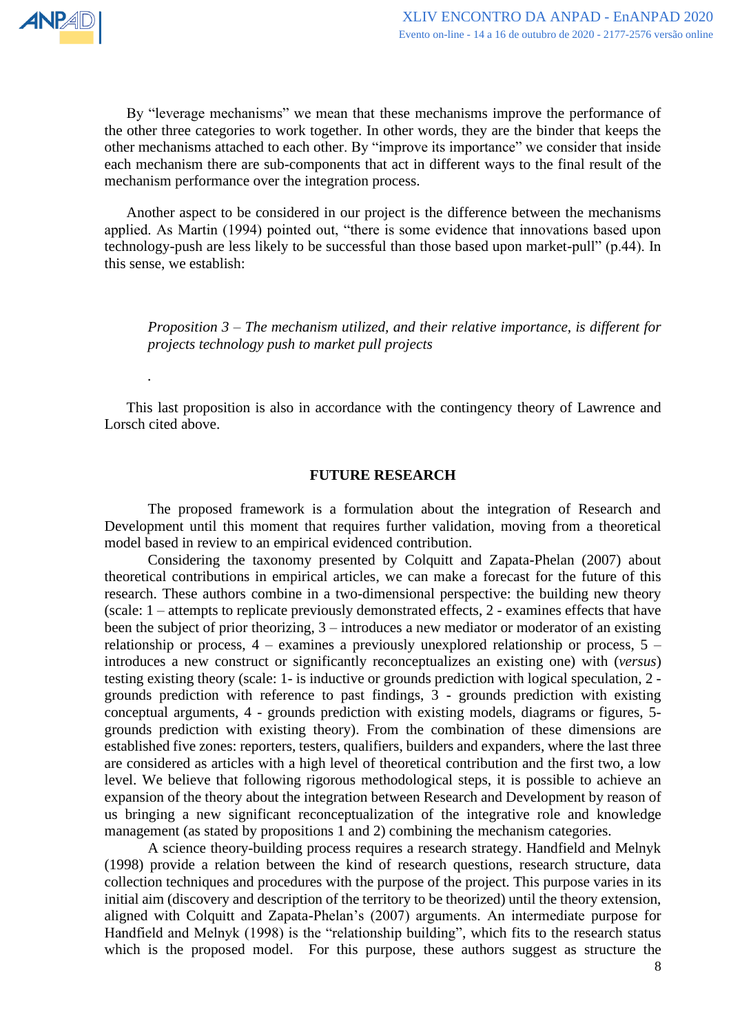*.*

By "leverage mechanisms" we mean that these mechanisms improve the performance of the other three categories to work together. In other words, they are the binder that keeps the other mechanisms attached to each other. By "improve its importance" we consider that inside each mechanism there are sub-components that act in different ways to the final result of the mechanism performance over the integration process.

Another aspect to be considered in our project is the difference between the mechanisms applied. As Martin (1994) pointed out, "there is some evidence that innovations based upon technology-push are less likely to be successful than those based upon market-pull" (p.44). In this sense, we establish:

*Proposition 3 – The mechanism utilized, and their relative importance, is different for projects technology push to market pull projects*

This last proposition is also in accordance with the contingency theory of Lawrence and Lorsch cited above.

#### **FUTURE RESEARCH**

The proposed framework is a formulation about the integration of Research and Development until this moment that requires further validation, moving from a theoretical model based in review to an empirical evidenced contribution.

Considering the taxonomy presented by Colquitt and Zapata-Phelan (2007) about theoretical contributions in empirical articles, we can make a forecast for the future of this research. These authors combine in a two-dimensional perspective: the building new theory (scale: 1 – attempts to replicate previously demonstrated effects, 2 - examines effects that have been the subject of prior theorizing, 3 – introduces a new mediator or moderator of an existing relationship or process,  $4$  – examines a previously unexplored relationship or process,  $5$  – introduces a new construct or significantly reconceptualizes an existing one) with (*versus*) testing existing theory (scale: 1- is inductive or grounds prediction with logical speculation, 2 grounds prediction with reference to past findings, 3 - grounds prediction with existing conceptual arguments, 4 - grounds prediction with existing models, diagrams or figures, 5 grounds prediction with existing theory). From the combination of these dimensions are established five zones: reporters, testers, qualifiers, builders and expanders, where the last three are considered as articles with a high level of theoretical contribution and the first two, a low level. We believe that following rigorous methodological steps, it is possible to achieve an expansion of the theory about the integration between Research and Development by reason of us bringing a new significant reconceptualization of the integrative role and knowledge management (as stated by propositions 1 and 2) combining the mechanism categories.

A science theory-building process requires a research strategy. Handfield and Melnyk (1998) provide a relation between the kind of research questions, research structure, data collection techniques and procedures with the purpose of the project. This purpose varies in its initial aim (discovery and description of the territory to be theorized) until the theory extension, aligned with Colquitt and Zapata-Phelan's (2007) arguments. An intermediate purpose for Handfield and Melnyk (1998) is the "relationship building", which fits to the research status which is the proposed model. For this purpose, these authors suggest as structure the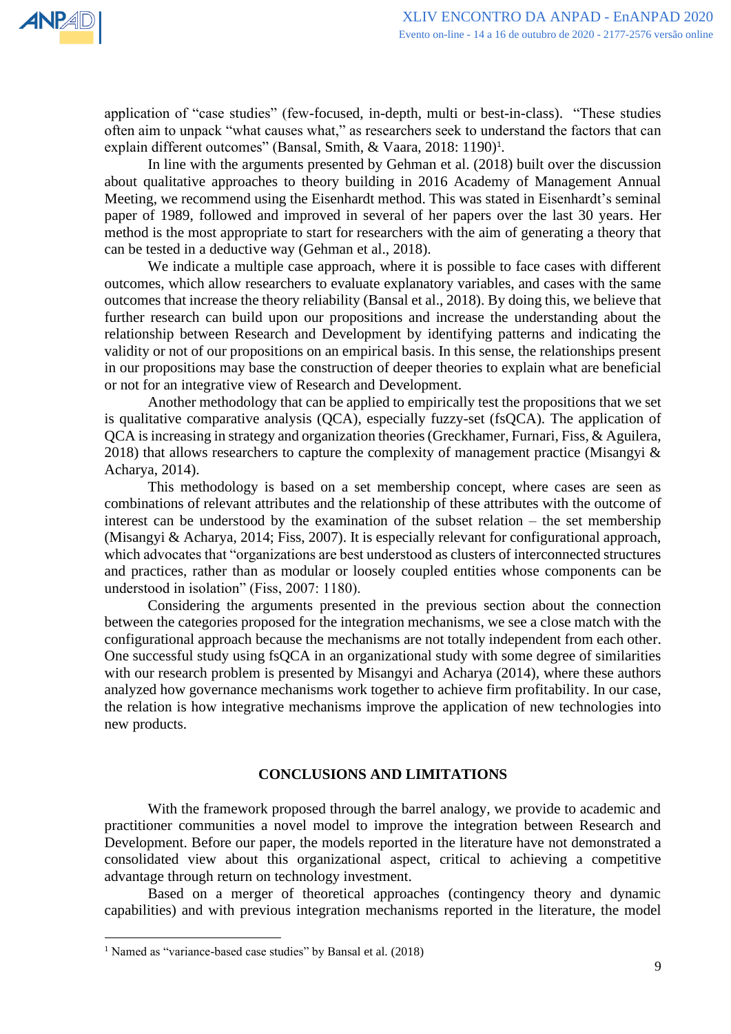

application of "case studies" (few-focused, in-depth, multi or best-in-class). "These studies often aim to unpack "what causes what," as researchers seek to understand the factors that can explain different outcomes" (Bansal, Smith, & Vaara, 2018: 1190)<sup>1</sup>.

In line with the arguments presented by Gehman et al. (2018) built over the discussion about qualitative approaches to theory building in 2016 Academy of Management Annual Meeting, we recommend using the Eisenhardt method. This was stated in Eisenhardt's seminal paper of 1989, followed and improved in several of her papers over the last 30 years. Her method is the most appropriate to start for researchers with the aim of generating a theory that can be tested in a deductive way (Gehman et al., 2018).

We indicate a multiple case approach, where it is possible to face cases with different outcomes, which allow researchers to evaluate explanatory variables, and cases with the same outcomes that increase the theory reliability (Bansal et al., 2018). By doing this, we believe that further research can build upon our propositions and increase the understanding about the relationship between Research and Development by identifying patterns and indicating the validity or not of our propositions on an empirical basis. In this sense, the relationships present in our propositions may base the construction of deeper theories to explain what are beneficial or not for an integrative view of Research and Development.

Another methodology that can be applied to empirically test the propositions that we set is qualitative comparative analysis (QCA), especially fuzzy-set (fsQCA). The application of QCA is increasing in strategy and organization theories (Greckhamer, Furnari, Fiss, & Aguilera, 2018) that allows researchers to capture the complexity of management practice (Misangyi  $\&$ Acharya, 2014).

This methodology is based on a set membership concept, where cases are seen as combinations of relevant attributes and the relationship of these attributes with the outcome of interest can be understood by the examination of the subset relation – the set membership (Misangyi & Acharya, 2014; Fiss, 2007). It is especially relevant for configurational approach, which advocates that "organizations are best understood as clusters of interconnected structures and practices, rather than as modular or loosely coupled entities whose components can be understood in isolation" (Fiss, 2007: 1180).

Considering the arguments presented in the previous section about the connection between the categories proposed for the integration mechanisms, we see a close match with the configurational approach because the mechanisms are not totally independent from each other. One successful study using fsQCA in an organizational study with some degree of similarities with our research problem is presented by Misangyi and Acharya (2014), where these authors analyzed how governance mechanisms work together to achieve firm profitability. In our case, the relation is how integrative mechanisms improve the application of new technologies into new products.

## **CONCLUSIONS AND LIMITATIONS**

With the framework proposed through the barrel analogy, we provide to academic and practitioner communities a novel model to improve the integration between Research and Development. Before our paper, the models reported in the literature have not demonstrated a consolidated view about this organizational aspect, critical to achieving a competitive advantage through return on technology investment.

Based on a merger of theoretical approaches (contingency theory and dynamic capabilities) and with previous integration mechanisms reported in the literature, the model

<sup>&</sup>lt;sup>1</sup> Named as "variance-based case studies" by Bansal et al. (2018)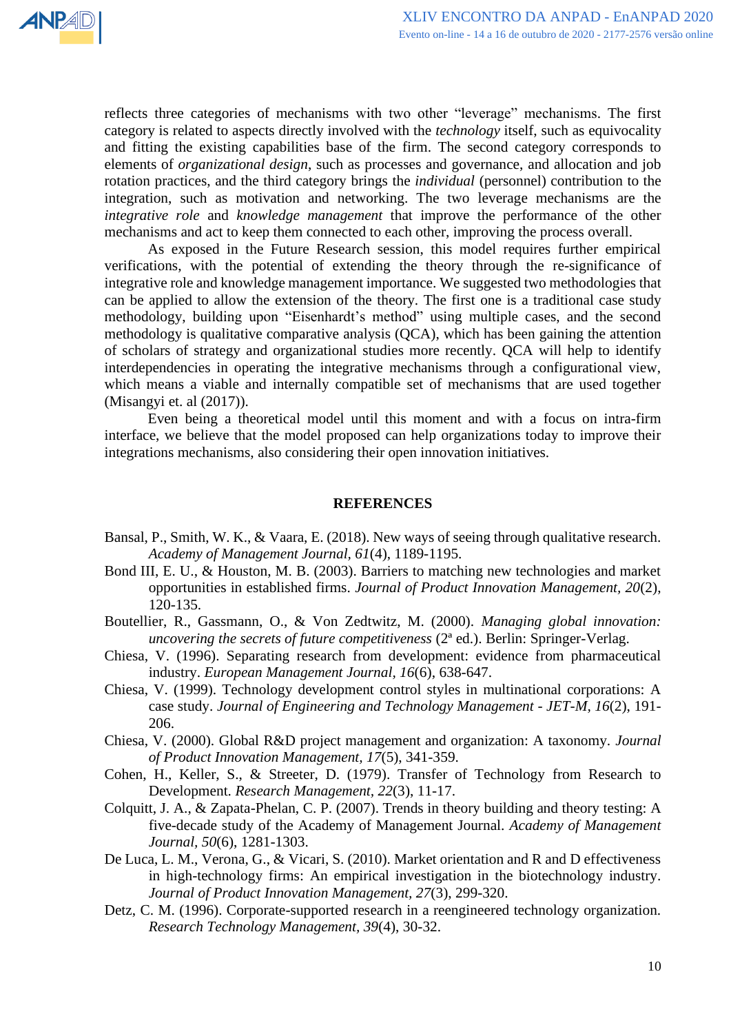

reflects three categories of mechanisms with two other "leverage" mechanisms. The first category is related to aspects directly involved with the *technology* itself, such as equivocality and fitting the existing capabilities base of the firm. The second category corresponds to elements of *organizational design*, such as processes and governance, and allocation and job rotation practices, and the third category brings the *individual* (personnel) contribution to the integration, such as motivation and networking. The two leverage mechanisms are the *integrative role* and *knowledge management* that improve the performance of the other mechanisms and act to keep them connected to each other, improving the process overall.

As exposed in the Future Research session, this model requires further empirical verifications, with the potential of extending the theory through the re-significance of integrative role and knowledge management importance. We suggested two methodologies that can be applied to allow the extension of the theory. The first one is a traditional case study methodology, building upon "Eisenhardt's method" using multiple cases, and the second methodology is qualitative comparative analysis (QCA), which has been gaining the attention of scholars of strategy and organizational studies more recently. QCA will help to identify interdependencies in operating the integrative mechanisms through a configurational view, which means a viable and internally compatible set of mechanisms that are used together (Misangyi et. al (2017)).

Even being a theoretical model until this moment and with a focus on intra-firm interface, we believe that the model proposed can help organizations today to improve their integrations mechanisms, also considering their open innovation initiatives.

#### **REFERENCES**

- Bansal, P., Smith, W. K., & Vaara, E. (2018). New ways of seeing through qualitative research. *Academy of Management Journal, 61*(4), 1189-1195.
- Bond III, E. U., & Houston, M. B. (2003). Barriers to matching new technologies and market opportunities in established firms. *Journal of Product Innovation Management, 20*(2), 120-135.
- Boutellier, R., Gassmann, O., & Von Zedtwitz, M. (2000). *Managing global innovation: uncovering the secrets of future competitiveness* (2ª ed.). Berlin: Springer-Verlag.
- Chiesa, V. (1996). Separating research from development: evidence from pharmaceutical industry. *European Management Journal, 16*(6), 638-647.
- Chiesa, V. (1999). Technology development control styles in multinational corporations: A case study. *Journal of Engineering and Technology Management - JET-M, 16*(2), 191- 206.
- Chiesa, V. (2000). Global R&D project management and organization: A taxonomy. *Journal of Product Innovation Management, 17*(5), 341-359.
- Cohen, H., Keller, S., & Streeter, D. (1979). Transfer of Technology from Research to Development. *Research Management, 22*(3), 11-17.
- Colquitt, J. A., & Zapata-Phelan, C. P. (2007). Trends in theory building and theory testing: A five-decade study of the Academy of Management Journal. *Academy of Management Journal, 50*(6), 1281-1303.
- De Luca, L. M., Verona, G., & Vicari, S. (2010). Market orientation and R and D effectiveness in high-technology firms: An empirical investigation in the biotechnology industry. *Journal of Product Innovation Management, 27*(3), 299-320.
- Detz, C. M. (1996). Corporate-supported research in a reengineered technology organization. *Research Technology Management, 39*(4), 30-32.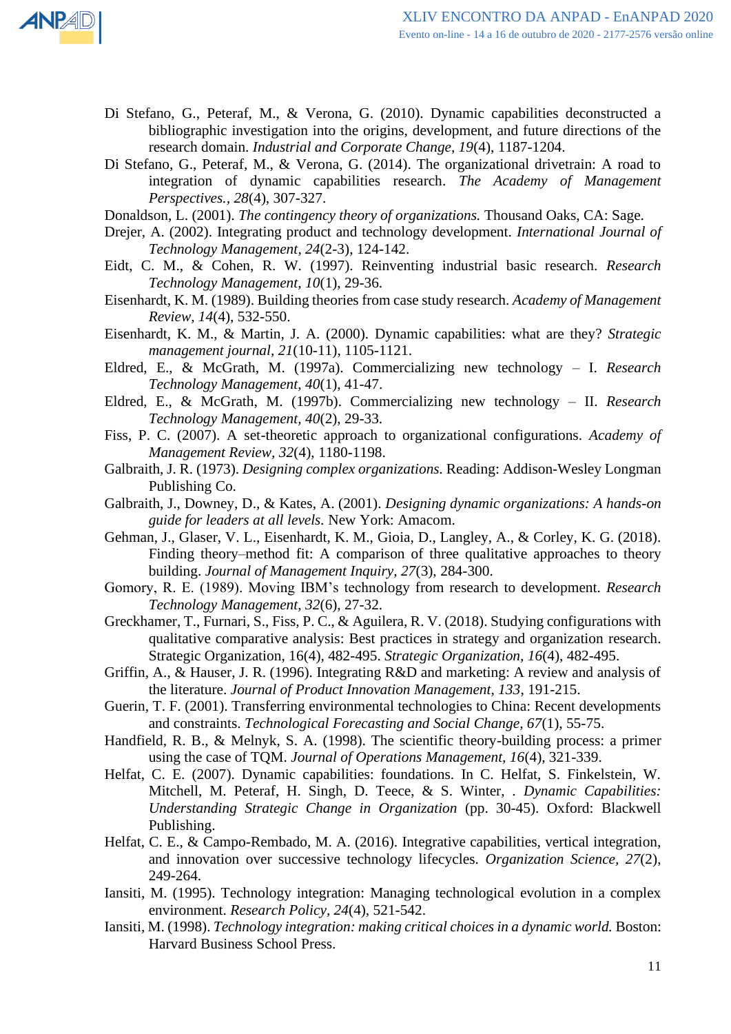

- Di Stefano, G., Peteraf, M., & Verona, G. (2010). Dynamic capabilities deconstructed a bibliographic investigation into the origins, development, and future directions of the research domain. *Industrial and Corporate Change, 19*(4), 1187-1204.
- Di Stefano, G., Peteraf, M., & Verona, G. (2014). The organizational drivetrain: A road to integration of dynamic capabilities research. *The Academy of Management Perspectives., 28*(4), 307-327.
- Donaldson, L. (2001). *The contingency theory of organizations.* Thousand Oaks, CA: Sage.
- Drejer, A. (2002). Integrating product and technology development. *International Journal of Technology Management, 24*(2-3), 124-142.
- Eidt, C. M., & Cohen, R. W. (1997). Reinventing industrial basic research. *Research Technology Management, 10*(1), 29-36.
- Eisenhardt, K. M. (1989). Building theories from case study research. *Academy of Management Review, 14*(4), 532-550.
- Eisenhardt, K. M., & Martin, J. A. (2000). Dynamic capabilities: what are they? *Strategic management journal, 21*(10-11), 1105-1121.
- Eldred, E., & McGrath, M. (1997a). Commercializing new technology I. *Research Technology Management, 40*(1), 41-47.
- Eldred, E., & McGrath, M. (1997b). Commercializing new technology II. *Research Technology Management, 40*(2), 29-33.
- Fiss, P. C. (2007). A set-theoretic approach to organizational configurations. *Academy of Management Review, 32*(4), 1180-1198.
- Galbraith, J. R. (1973). *Designing complex organizations.* Reading: Addison-Wesley Longman Publishing Co.
- Galbraith, J., Downey, D., & Kates, A. (2001). *Designing dynamic organizations: A hands-on guide for leaders at all levels.* New York: Amacom.
- Gehman, J., Glaser, V. L., Eisenhardt, K. M., Gioia, D., Langley, A., & Corley, K. G. (2018). Finding theory–method fit: A comparison of three qualitative approaches to theory building. *Journal of Management Inquiry, 27*(3), 284-300.
- Gomory, R. E. (1989). Moving IBM's technology from research to development. *Research Technology Management, 32*(6), 27-32.
- Greckhamer, T., Furnari, S., Fiss, P. C., & Aguilera, R. V. (2018). Studying configurations with qualitative comparative analysis: Best practices in strategy and organization research. Strategic Organization, 16(4), 482-495. *Strategic Organization, 16*(4), 482-495.
- Griffin, A., & Hauser, J. R. (1996). Integrating R&D and marketing: A review and analysis of the literature. *Journal of Product Innovation Management, 133*, 191-215.
- Guerin, T. F. (2001). Transferring environmental technologies to China: Recent developments and constraints. *Technological Forecasting and Social Change, 67*(1), 55-75.
- Handfield, R. B., & Melnyk, S. A. (1998). The scientific theory-building process: a primer using the case of TQM. *Journal of Operations Management, 16*(4), 321-339.
- Helfat, C. E. (2007). Dynamic capabilities: foundations. In C. Helfat, S. Finkelstein, W. Mitchell, M. Peteraf, H. Singh, D. Teece, & S. Winter, *. Dynamic Capabilities: Understanding Strategic Change in Organization* (pp. 30-45). Oxford: Blackwell Publishing.
- Helfat, C. E., & Campo-Rembado, M. A. (2016). Integrative capabilities, vertical integration, and innovation over successive technology lifecycles. *Organization Science, 27*(2), 249-264.
- Iansiti, M. (1995). Technology integration: Managing technological evolution in a complex environment. *Research Policy, 24*(4), 521-542.
- Iansiti, M. (1998). *Technology integration: making critical choices in a dynamic world.* Boston: Harvard Business School Press.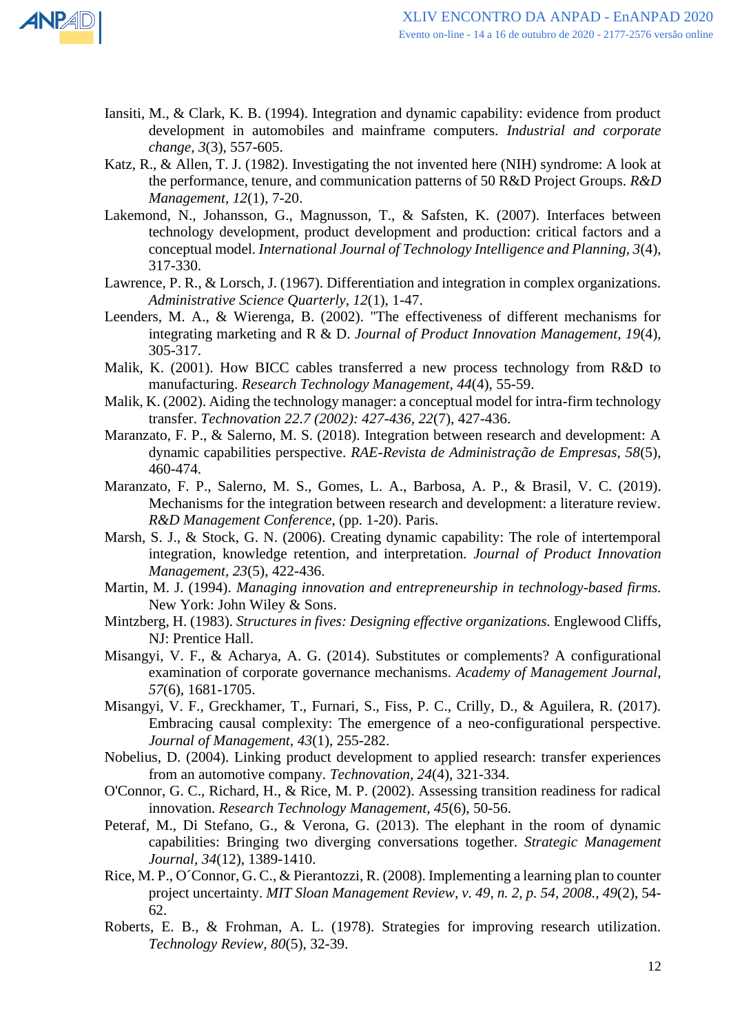

- Iansiti, M., & Clark, K. B. (1994). Integration and dynamic capability: evidence from product development in automobiles and mainframe computers. *Industrial and corporate change, 3*(3), 557-605.
- Katz, R., & Allen, T. J. (1982). Investigating the not invented here (NIH) syndrome: A look at the performance, tenure, and communication patterns of 50 R&D Project Groups. *R&D Management, 12*(1), 7-20.
- Lakemond, N., Johansson, G., Magnusson, T., & Safsten, K. (2007). Interfaces between technology development, product development and production: critical factors and a conceptual model. *International Journal of Technology Intelligence and Planning, 3*(4), 317-330.
- Lawrence, P. R., & Lorsch, J. (1967). Differentiation and integration in complex organizations. *Administrative Science Quarterly, 12*(1), 1-47.
- Leenders, M. A., & Wierenga, B. (2002). "The effectiveness of different mechanisms for integrating marketing and R & D. *Journal of Product Innovation Management, 19*(4), 305-317.
- Malik, K. (2001). How BICC cables transferred a new process technology from R&D to manufacturing. *Research Technology Management, 44*(4), 55-59.
- Malik, K. (2002). Aiding the technology manager: a conceptual model for intra-firm technology transfer. *Technovation 22.7 (2002): 427-436, 22*(7), 427-436.
- Maranzato, F. P., & Salerno, M. S. (2018). Integration between research and development: A dynamic capabilities perspective. *RAE-Revista de Administração de Empresas, 58*(5), 460-474.
- Maranzato, F. P., Salerno, M. S., Gomes, L. A., Barbosa, A. P., & Brasil, V. C. (2019). Mechanisms for the integration between research and development: a literature review. *R&D Management Conference*, (pp. 1-20). Paris.
- Marsh, S. J., & Stock, G. N. (2006). Creating dynamic capability: The role of intertemporal integration, knowledge retention, and interpretation. *Journal of Product Innovation Management, 23*(5), 422-436.
- Martin, M. J. (1994). *Managing innovation and entrepreneurship in technology-based firms.* New York: John Wiley & Sons.
- Mintzberg, H. (1983). *Structures in fives: Designing effective organizations.* Englewood Cliffs, NJ: Prentice Hall.
- Misangyi, V. F., & Acharya, A. G. (2014). Substitutes or complements? A configurational examination of corporate governance mechanisms. *Academy of Management Journal, 57*(6), 1681-1705.
- Misangyi, V. F., Greckhamer, T., Furnari, S., Fiss, P. C., Crilly, D., & Aguilera, R. (2017). Embracing causal complexity: The emergence of a neo-configurational perspective. *Journal of Management, 43*(1), 255-282.
- Nobelius, D. (2004). Linking product development to applied research: transfer experiences from an automotive company. *Technovation, 24*(4), 321-334.
- O'Connor, G. C., Richard, H., & Rice, M. P. (2002). Assessing transition readiness for radical innovation. *Research Technology Management, 45*(6), 50-56.
- Peteraf, M., Di Stefano, G., & Verona, G. (2013). The elephant in the room of dynamic capabilities: Bringing two diverging conversations together. *Strategic Management Journal, 34*(12), 1389-1410.
- Rice, M. P., O´Connor, G. C., & Pierantozzi, R. (2008). Implementing a learning plan to counter project uncertainty. *MIT Sloan Management Review, v. 49, n. 2, p. 54, 2008., 49*(2), 54- 62.
- Roberts, E. B., & Frohman, A. L. (1978). Strategies for improving research utilization. *Technology Review, 80*(5), 32-39.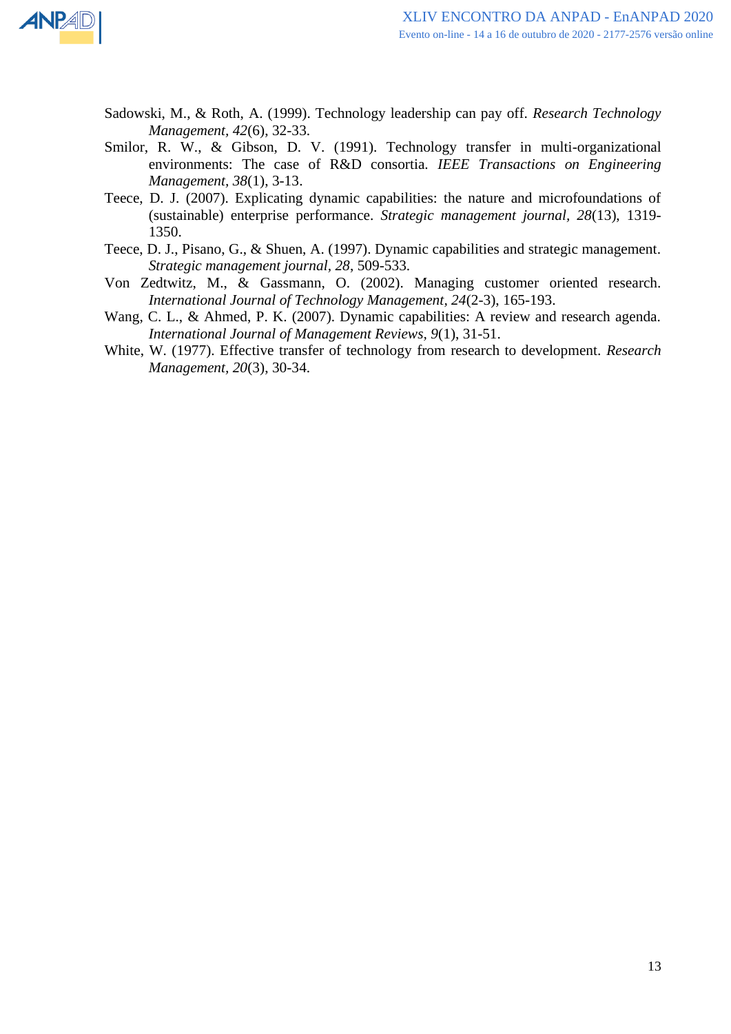

- Sadowski, M., & Roth, A. (1999). Technology leadership can pay off. *Research Technology Management, 42*(6), 32-33.
- Smilor, R. W., & Gibson, D. V. (1991). Technology transfer in multi-organizational environments: The case of R&D consortia. *IEEE Transactions on Engineering Management, 38*(1), 3-13.
- Teece, D. J. (2007). Explicating dynamic capabilities: the nature and microfoundations of (sustainable) enterprise performance. *Strategic management journal, 28*(13), 1319- 1350.
- Teece, D. J., Pisano, G., & Shuen, A. (1997). Dynamic capabilities and strategic management. *Strategic management journal, 28*, 509-533.
- Von Zedtwitz, M., & Gassmann, O. (2002). Managing customer oriented research. *International Journal of Technology Management, 24*(2-3), 165-193.
- Wang, C. L., & Ahmed, P. K. (2007). Dynamic capabilities: A review and research agenda. *International Journal of Management Reviews, 9*(1), 31-51.
- White, W. (1977). Effective transfer of technology from research to development. *Research Management, 20*(3), 30-34.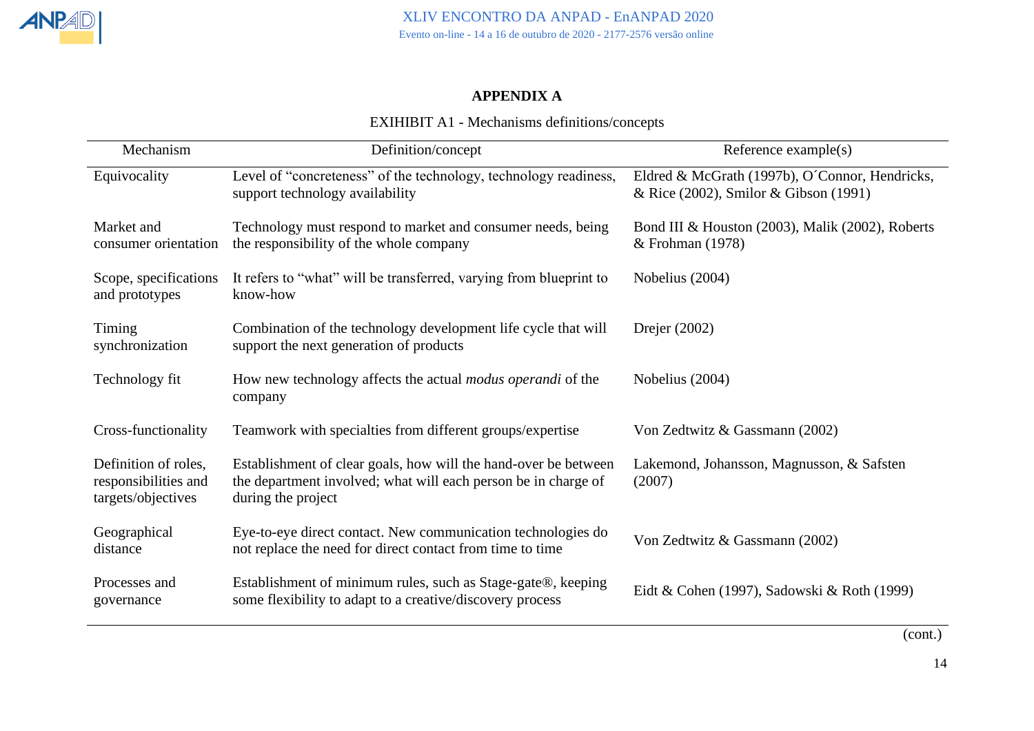## **APPENDIX A**

## EXIHIBIT A1 - Mechanisms definitions/concepts

| Mechanism                                                          | Definition/concept                                                                                                                                      | Reference $example(s)$                                                                  |
|--------------------------------------------------------------------|---------------------------------------------------------------------------------------------------------------------------------------------------------|-----------------------------------------------------------------------------------------|
| Equivocality                                                       | Level of "concreteness" of the technology, technology readiness,<br>support technology availability                                                     | Eldred & McGrath (1997b), O'Connor, Hendricks,<br>& Rice (2002), Smilor & Gibson (1991) |
| Market and<br>consumer orientation                                 | Technology must respond to market and consumer needs, being<br>the responsibility of the whole company                                                  | Bond III & Houston (2003), Malik (2002), Roberts<br>$&$ Frohman (1978)                  |
| Scope, specifications<br>and prototypes                            | It refers to "what" will be transferred, varying from blueprint to<br>know-how                                                                          | Nobelius (2004)                                                                         |
| Timing<br>synchronization                                          | Combination of the technology development life cycle that will<br>support the next generation of products                                               | Drejer $(2002)$                                                                         |
| Technology fit                                                     | How new technology affects the actual <i>modus operandi</i> of the<br>company                                                                           | Nobelius (2004)                                                                         |
| Cross-functionality                                                | Teamwork with specialties from different groups/expertise                                                                                               | Von Zedtwitz & Gassmann (2002)                                                          |
| Definition of roles,<br>responsibilities and<br>targets/objectives | Establishment of clear goals, how will the hand-over be between<br>the department involved; what will each person be in charge of<br>during the project | Lakemond, Johansson, Magnusson, & Safsten<br>(2007)                                     |
| Geographical<br>distance                                           | Eye-to-eye direct contact. New communication technologies do<br>not replace the need for direct contact from time to time                               | Von Zedtwitz & Gassmann (2002)                                                          |
| Processes and<br>governance                                        | Establishment of minimum rules, such as Stage-gate®, keeping<br>some flexibility to adapt to a creative/discovery process                               | Eidt & Cohen (1997), Sadowski & Roth (1999)                                             |

(cont.)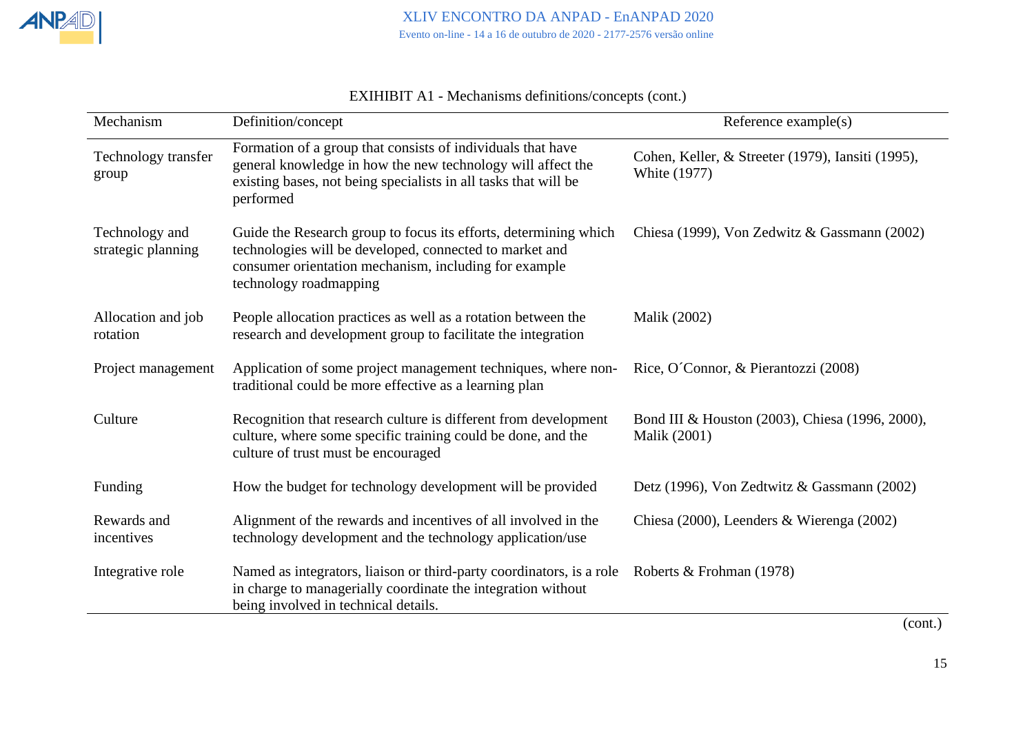

| Mechanism                            | Definition/concept                                                                                                                                                                                             | Reference example(s)                                                     |
|--------------------------------------|----------------------------------------------------------------------------------------------------------------------------------------------------------------------------------------------------------------|--------------------------------------------------------------------------|
| Technology transfer<br>group         | Formation of a group that consists of individuals that have<br>general knowledge in how the new technology will affect the<br>existing bases, not being specialists in all tasks that will be<br>performed     | Cohen, Keller, & Streeter (1979), Iansiti (1995),<br><b>White (1977)</b> |
| Technology and<br>strategic planning | Guide the Research group to focus its efforts, determining which<br>technologies will be developed, connected to market and<br>consumer orientation mechanism, including for example<br>technology roadmapping | Chiesa (1999), Von Zedwitz & Gassmann (2002)                             |
| Allocation and job<br>rotation       | People allocation practices as well as a rotation between the<br>research and development group to facilitate the integration                                                                                  | <b>Malik (2002)</b>                                                      |
| Project management                   | Application of some project management techniques, where non-<br>traditional could be more effective as a learning plan                                                                                        | Rice, O'Connor, & Pierantozzi (2008)                                     |
| Culture                              | Recognition that research culture is different from development<br>culture, where some specific training could be done, and the<br>culture of trust must be encouraged                                         | Bond III & Houston (2003), Chiesa (1996, 2000),<br>Malik (2001)          |
| Funding                              | How the budget for technology development will be provided                                                                                                                                                     | Detz (1996), Von Zedtwitz & Gassmann (2002)                              |
| Rewards and<br>incentives            | Alignment of the rewards and incentives of all involved in the<br>technology development and the technology application/use                                                                                    | Chiesa (2000), Leenders & Wierenga (2002)                                |
| Integrative role                     | Named as integrators, liaison or third-party coordinators, is a role<br>in charge to managerially coordinate the integration without<br>being involved in technical details.                                   | Roberts & Frohman (1978)                                                 |

EXIHIBIT A1 - Mechanisms definitions/concepts (cont.)

(cont.)